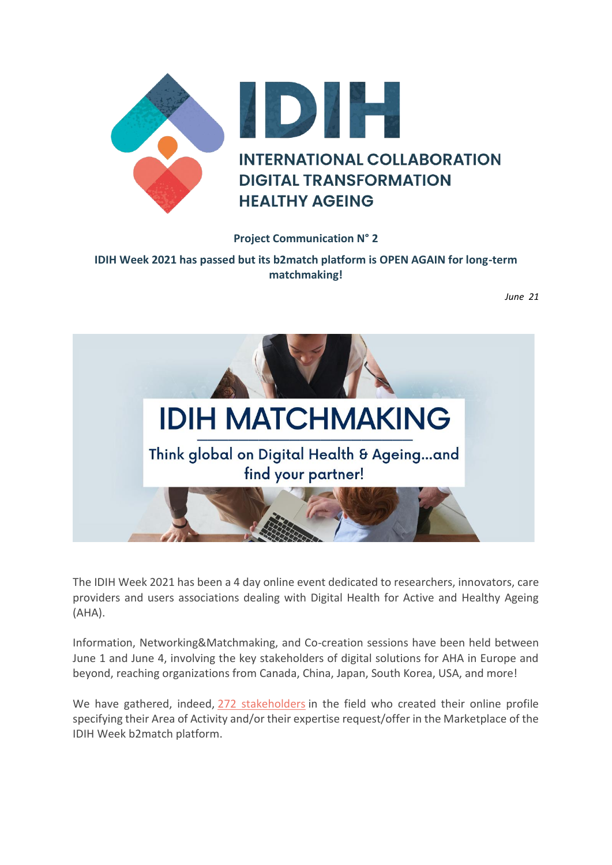

## **Project Communication N° 2**

**IDIH Week 2021 has passed but its b2match platform is OPEN AGAIN for long-term matchmaking!**

*June 21*



The IDIH Week 2021 has been a 4 day online event dedicated to researchers, innovators, care providers and users associations dealing with Digital Health for Active and Healthy Ageing (AHA).

Information, Networking&Matchmaking, and Co-creation sessions have been held between June 1 and June 4, involving the key stakeholders of digital solutions for AHA in Europe and beyond, reaching organizations from Canada, China, Japan, South Korea, USA, and more!

We have gathered, indeed, [272 stakeholders](https://idih-week-2021.b2match.io/participants) in the field who created their online profile specifying their Area of Activity and/or their expertise request/offer in the Marketplace of the IDIH Week b2match platform.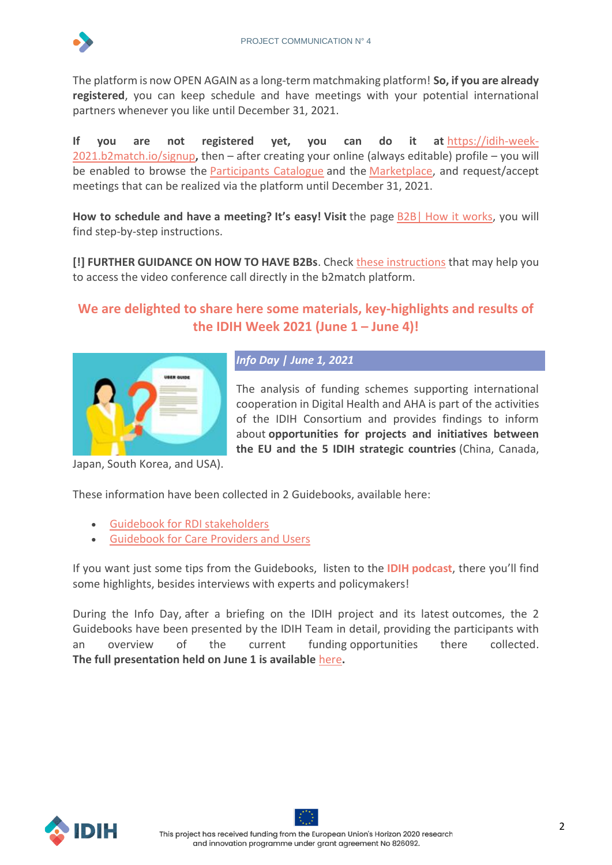

The platform is now OPEN AGAIN as a long-term matchmaking platform! **So, if you are already registered**, you can keep schedule and have meetings with your potential international partners whenever you like until December 31, 2021.

**If you are not registered yet, you can do it at** [https://idih-week-](https://idih-week-2021.b2match.io/signup)[2021.b2match.io/signup](https://idih-week-2021.b2match.io/signup)**,** then – after creating your online (always editable) profile – you will be enabled to browse the [Participants Catalogue](https://idih-week-2021.b2match.io/participants) and the [Marketplace,](https://idih-week-2021.b2match.io/marketplace) and request/accept meetings that can be realized via the platform until December 31, 2021.

**How to schedule and have a meeting? It's easy! Visit** the page B2B| [How it works,](https://idih-week-2021.b2match.io/how-it-works) you will find step-by-step instructions.

**[!] FURTHER GUIDANCE ON HOW TO HAVE B2Bs.** Check [these instructions](https://prod5.assets-cdn.io/event/6354/assets/8376594465-e662fb8f39.pdf) that may help you to access the video conference call directly in the b2match platform.

# **We are delighted to share here some materials, key-highlights and results of the IDIH Week 2021 (June 1 – June 4)!**



## *Info Day | June 1, 2021*

The analysis of funding schemes supporting international cooperation in Digital Health and AHA is part of the activities of the IDIH Consortium and provides findings to inform about **opportunities for projects and initiatives between the EU and the 5 IDIH strategic countries** (China, Canada,

Japan, South Korea, and USA).

These information have been collected in 2 Guidebooks, available here:

- [Guidebook for RDI stakeholders](https://idih-global.eu/wp-content/uploads/2021/05/IDIH_D2.1-Guidebook-for-RDI-stakeholders-1.pdf)
- Guidebook for Care [Providers and Users](https://idih-global.eu/wp-content/uploads/2021/05/IDIH_D4.5-Guidebook-for-care-providers-and-users-1.pdf)

If you want just some tips from the Guidebooks, listen to the **IDIH [podcast](https://open.spotify.com/episode/5gUOx7TnmTWrJGwi5fKKn7?si=o9ap3qB1TVG4L_bIXtIJ8A)**, there you'll find some highlights, besides interviews with experts and policymakers!

During the Info Day, after a briefing on the IDIH project and its latest outcomes, the 2 Guidebooks have been presented by the IDIH Team in detail, providing the participants with an overview of the current funding opportunities there collected. **The full presentation held on June 1 is available** [here](https://prod5.assets-cdn.io/event/6354/assets/8376859982-01a2a0e6dd.pdf)**.**

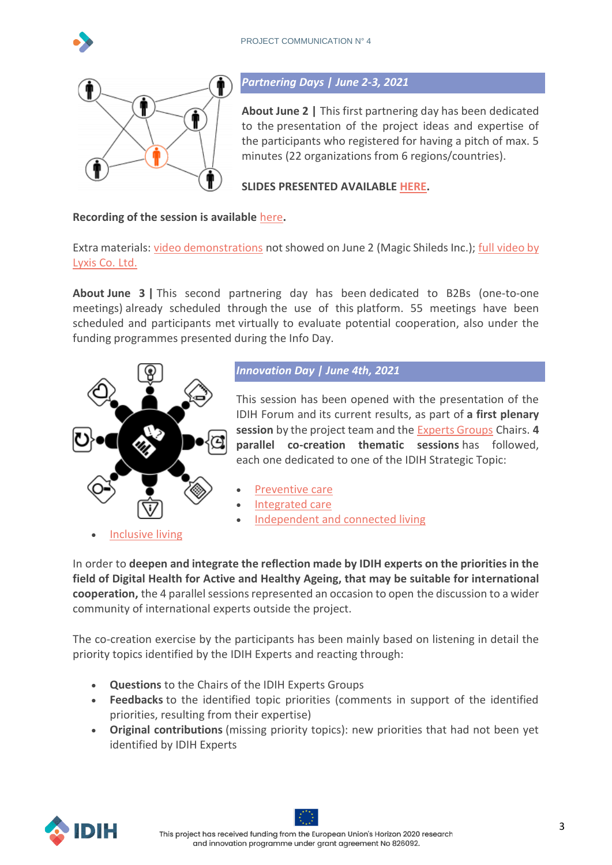



#### *Partnering Days | June 2-3, 2021*

**About June 2 |** This first partnering day has been dedicated to the presentation of the project ideas and expertise of the participants who registered for having a pitch of max. 5 minutes (22 organizations from 6 regions/countries).

**SLIDES PRESENTED AVAILABLE [HERE.](https://prod5.assets-cdn.io/event/6354/assets/8376768025-f698598eb0.pdf)** 

### **Recording of the session is available** [here](http://download.apre.it/IDIHWeekPartneringDay1.mp4)**.**

Extra materials: [video demonstrations](https://prod5.assets-cdn.io/event/6354/assets/8376772440-8a3959f23f.mp4v) not showed on June 2 (Magic Shileds Inc.); full [video by](http://download.apre.it/Hiroko_Sasaki_LIXYS_Japan.mp4)  [Lyxis Co. Ltd.](http://download.apre.it/Hiroko_Sasaki_LIXYS_Japan.mp4)

**About June 3 |** This second partnering day has been dedicated to B2Bs (one-to-one meetings) already scheduled through the use of this platform. 55 meetings have been scheduled and participants met virtually to evaluate potential cooperation, also under the funding programmes presented during the Info Day.



*Innovation Day | June 4th, 2021*

This session has been opened with the presentation of the IDIH Forum and its current results, as part of **a first plenary session** by the project team and the [Experts Groups](https://idih-global.eu/expert-groups/) Chairs. **4 parallel co-creation thematic sessions** has followed, each one dedicated to one of the IDIH Strategic Topic:

- [Preventive care](https://idih-global.eu/expert-groups/expert-group-integrated-care/)
- [Integrated care](https://idih-global.eu/expert-groups/expert-group-independent-and-connected-living/)
- [Independent and connected living](https://idih-global.eu/expert-groups/expert-group-inclusive-living/)

• [Inclusive living](https://idih-global.eu/expert-groups/expert-group-inclusive-living/)

In order to **deepen and integrate the reflection made by IDIH experts on the priorities in the field of Digital Health for Active and Healthy Ageing, that may be suitable for international cooperation,** the 4 parallel sessions represented an occasion to open the discussion to a wider community of international experts outside the project.

The co-creation exercise by the participants has been mainly based on listening in detail the priority topics identified by the IDIH Experts and reacting through:

- **Questions** to the Chairs of the IDIH Experts Groups
- **Feedbacks** to the identified topic priorities (comments in support of the identified priorities, resulting from their expertise)
- **Original contributions** (missing priority topics): new priorities that had not been yet identified by IDIH Experts